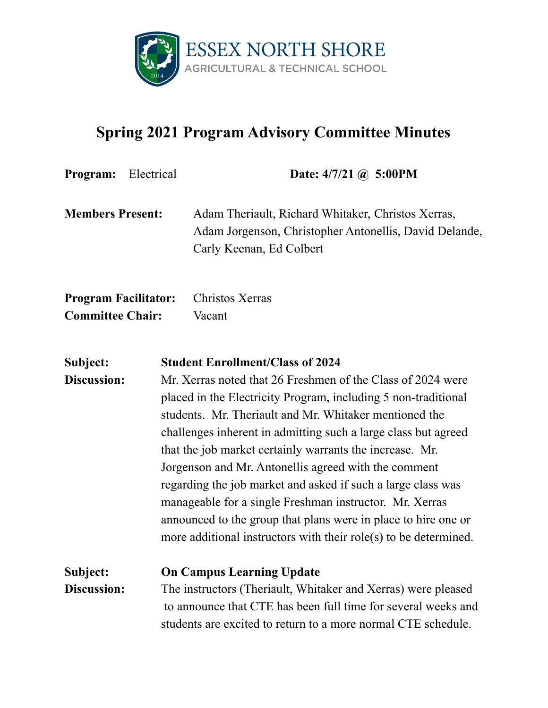

## **Spring 2021 Program Advisory Committee Minutes**

| <b>Program:</b>                                        | Electrical | Date: $4/7/21$ ( <i>a</i> ) 5:00PM                                                                                                                                                                                                                                                                                                                                                                                                                                                                                                                                                                                                                                                        |
|--------------------------------------------------------|------------|-------------------------------------------------------------------------------------------------------------------------------------------------------------------------------------------------------------------------------------------------------------------------------------------------------------------------------------------------------------------------------------------------------------------------------------------------------------------------------------------------------------------------------------------------------------------------------------------------------------------------------------------------------------------------------------------|
| <b>Members Present:</b>                                |            | Adam Theriault, Richard Whitaker, Christos Xerras,<br>Adam Jorgenson, Christopher Antonellis, David Delande,<br>Carly Keenan, Ed Colbert                                                                                                                                                                                                                                                                                                                                                                                                                                                                                                                                                  |
| <b>Program Facilitator:</b><br><b>Committee Chair:</b> |            | Christos Xerras<br>Vacant                                                                                                                                                                                                                                                                                                                                                                                                                                                                                                                                                                                                                                                                 |
| Subject:<br>Discussion:                                |            | <b>Student Enrollment/Class of 2024</b><br>Mr. Xerras noted that 26 Freshmen of the Class of 2024 were<br>placed in the Electricity Program, including 5 non-traditional<br>students. Mr. Theriault and Mr. Whitaker mentioned the<br>challenges inherent in admitting such a large class but agreed<br>that the job market certainly warrants the increase. Mr.<br>Jorgenson and Mr. Antonellis agreed with the comment<br>regarding the job market and asked if such a large class was<br>manageable for a single Freshman instructor. Mr. Xerras<br>announced to the group that plans were in place to hire one or<br>more additional instructors with their role(s) to be determined. |
| Subject:<br><b>Discussion:</b>                         |            | <b>On Campus Learning Update</b><br>The instructors (Theriault, Whitaker and Xerras) were pleased<br>to announce that CTE has been full time for several weeks and<br>students are excited to return to a more normal CTE schedule.                                                                                                                                                                                                                                                                                                                                                                                                                                                       |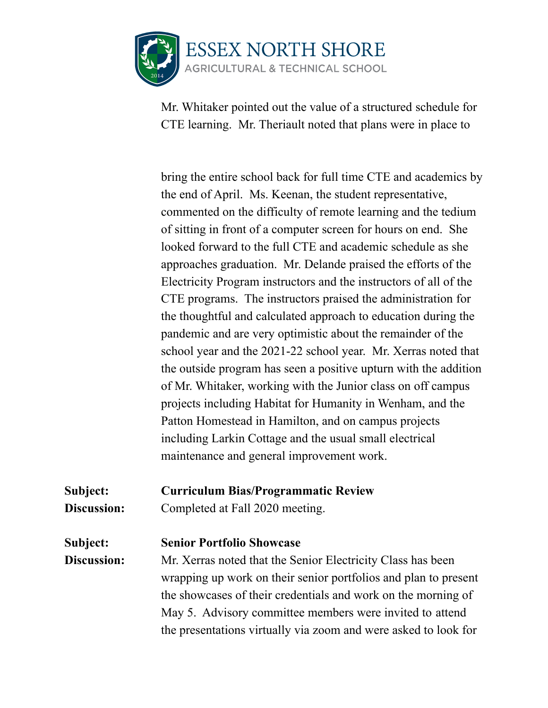

Mr. Whitaker pointed out the value of a structured schedule for CTE learning. Mr. Theriault noted that plans were in place to

bring the entire school back for full time CTE and academics by the end of April. Ms. Keenan, the student representative, commented on the difficulty of remote learning and the tedium of sitting in front of a computer screen for hours on end. She looked forward to the full CTE and academic schedule as she approaches graduation. Mr. Delande praised the efforts of the Electricity Program instructors and the instructors of all of the CTE programs. The instructors praised the administration for the thoughtful and calculated approach to education during the pandemic and are very optimistic about the remainder of the school year and the 2021-22 school year. Mr. Xerras noted that the outside program has seen a positive upturn with the addition of Mr. Whitaker, working with the Junior class on off campus projects including Habitat for Humanity in Wenham, and the Patton Homestead in Hamilton, and on campus projects including Larkin Cottage and the usual small electrical maintenance and general improvement work.

**Subject: Curriculum Bias/Programmatic Review**

**Discussion:** Completed at Fall 2020 meeting.

**Subject: Senior Portfolio Showcase**

**Discussion:** Mr. Xerras noted that the Senior Electricity Class has been wrapping up work on their senior portfolios and plan to present the showcases of their credentials and work on the morning of May 5. Advisory committee members were invited to attend the presentations virtually via zoom and were asked to look for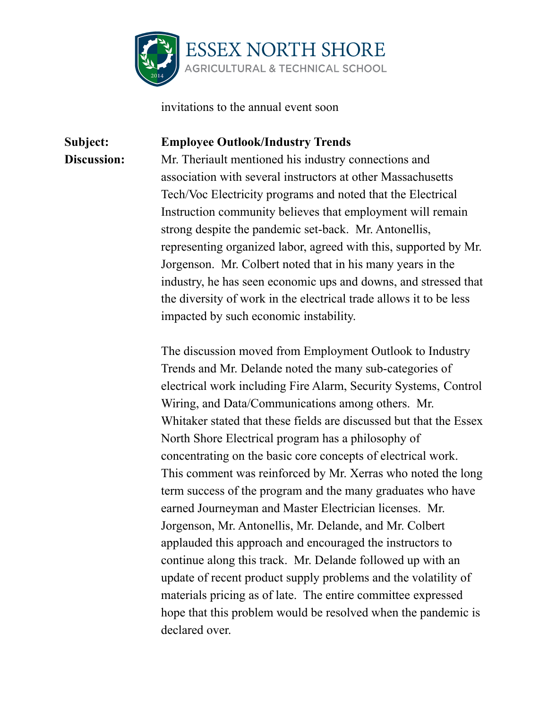

invitations to the annual event soon

## **Subject: Employee Outlook/Industry Trends Discussion:** Mr. Theriault mentioned his industry connections and association with several instructors at other Massachusetts Tech/Voc Electricity programs and noted that the Electrical Instruction community believes that employment will remain strong despite the pandemic set-back. Mr. Antonellis, representing organized labor, agreed with this, supported by Mr. Jorgenson. Mr. Colbert noted that in his many years in the industry, he has seen economic ups and downs, and stressed that the diversity of work in the electrical trade allows it to be less

impacted by such economic instability.

The discussion moved from Employment Outlook to Industry Trends and Mr. Delande noted the many sub-categories of electrical work including Fire Alarm, Security Systems, Control Wiring, and Data/Communications among others. Mr. Whitaker stated that these fields are discussed but that the Essex North Shore Electrical program has a philosophy of concentrating on the basic core concepts of electrical work. This comment was reinforced by Mr. Xerras who noted the long term success of the program and the many graduates who have earned Journeyman and Master Electrician licenses. Mr. Jorgenson, Mr. Antonellis, Mr. Delande, and Mr. Colbert applauded this approach and encouraged the instructors to continue along this track. Mr. Delande followed up with an update of recent product supply problems and the volatility of materials pricing as of late. The entire committee expressed hope that this problem would be resolved when the pandemic is declared over.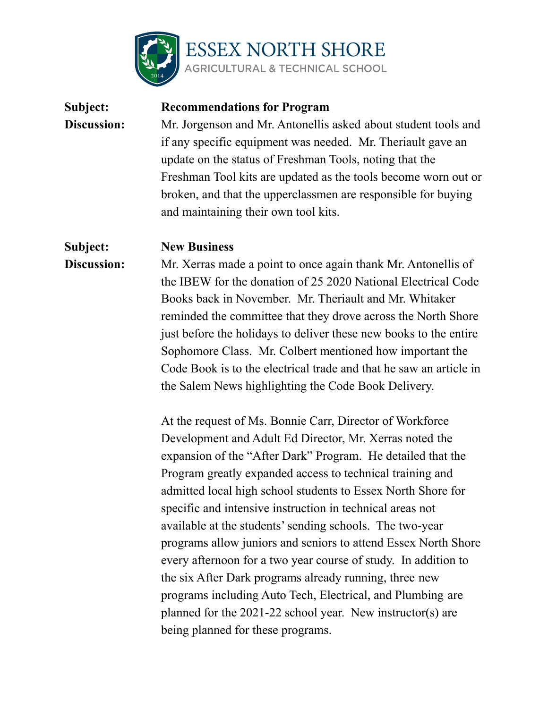

## **Subject: Recommendations for Program Discussion:** Mr. Jorgenson and Mr. Antonellis asked about student tools and if any specific equipment was needed. Mr. Theriault gave an update on the status of Freshman Tools, noting that the Freshman Tool kits are updated as the tools become worn out or broken, and that the upperclassmen are responsible for buying and maintaining their own tool kits. **Subject: New Business Discussion:** Mr. Xerras made a point to once again thank Mr. Antonellis of the IBEW for the donation of 25 2020 National Electrical Code Books back in November. Mr. Theriault and Mr. Whitaker reminded the committee that they drove across the North Shore just before the holidays to deliver these new books to the entire Sophomore Class. Mr. Colbert mentioned how important the Code Book is to the electrical trade and that he saw an article in the Salem News highlighting the Code Book Delivery. At the request of Ms. Bonnie Carr, Director of Workforce

Development and Adult Ed Director, Mr. Xerras noted the expansion of the "After Dark" Program. He detailed that the Program greatly expanded access to technical training and admitted local high school students to Essex North Shore for specific and intensive instruction in technical areas not available at the students'sending schools. The two-year programs allow juniors and seniors to attend Essex North Shore every afternoon for a two year course of study. In addition to the six After Dark programs already running, three new programs including Auto Tech, Electrical, and Plumbing are planned for the 2021-22 school year. New instructor(s) are being planned for these programs.